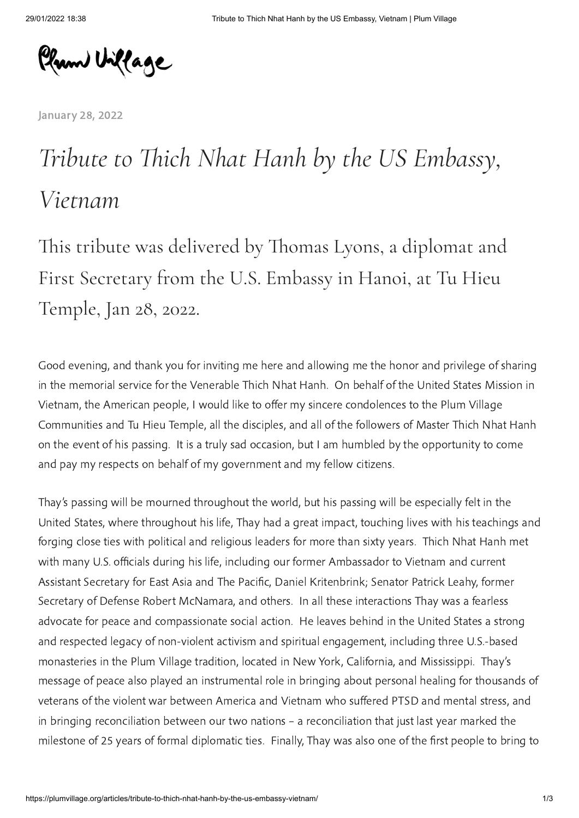Plum Village

[January](https://plumvillage.org/articles/tribute-to-thich-nhat-hanh-by-the-us-embassy-vietnam/) 28, 2022

## *Tribute to Thich Nhat Hanh by the US Embassy, Vietnam*

This tribute was delivered by Thomas Lyons, a diplomat and First Secretary from the U.S. Embassy in Hanoi, at Tu Hieu Temple, Jan 28, 2022.

Good evening, and thank you for inviting me here and allowing me the honor and privilege of sharing in the memorial service for the Venerable Thich Nhat Hanh. On behalf of the United States Mission in Vietnam, the American people, I would like to offer my sincere condolences to the Plum Village Communities and Tu Hieu Temple, all the disciples, and all of the followers of Master Thich Nhat Hanh on the event of his passing. It is a truly sad occasion, but I am humbled by the opportunity to come and pay my respects on behalf of my government and my fellow citizens.

Thay's passing will be mourned throughout the world, but his passing will be especially felt in the United States, where throughout his life, Thay had a great impact, touching lives with his teachings and forging close ties with political and religious leaders for more than sixty years. Thich Nhat Hanh met with many U.S. officials during his life, including our former Ambassador to Vietnam and current Assistant Secretary for East Asia and The Pacific, Daniel Kritenbrink; Senator Patrick Leahy, former Secretary of Defense Robert McNamara, and others. In all these interactions Thay was a fearless advocate for peace and compassionate social action. He leaves behind in the United States a strong and respected legacy of non-violent activism and spiritual engagement, including three U.S.-based monasteries in the Plum Village tradition, located in New York, California, and Mississippi. Thay's message of peace also played an instrumental role in bringing about personal healing for thousands of veterans of the violent war between America and Vietnam who suffered PTSD and mental stress, and in bringing reconciliation between our two nations – a reconciliation that just last year marked the milestone of 25 years of formal diplomatic ties. Finally, Thay was also one of the first people to bring to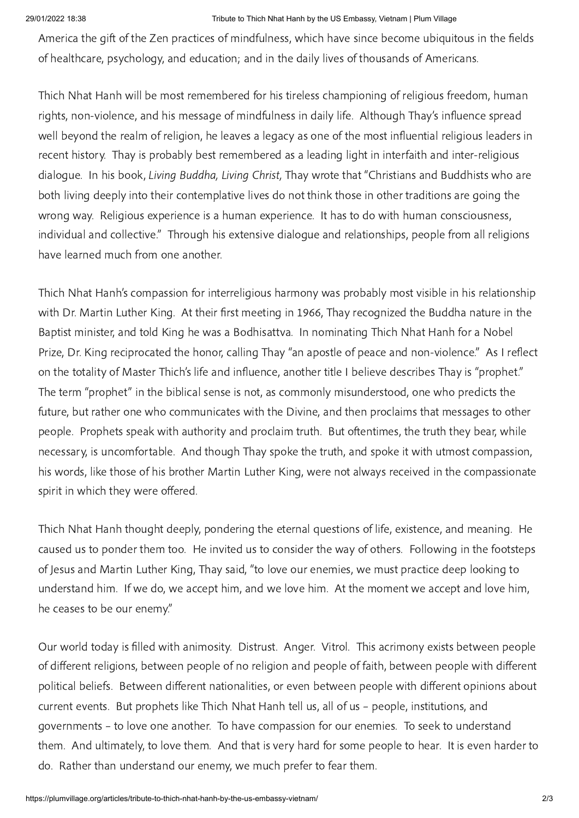## 29/01/2022 18:38 Tribute to Thich Nhat Hanh by the US Embassy, Vietnam | Plum Village

America the gift of the Zen practices of mindfulness, which have since become ubiquitous in the fields of healthcare, psychology, and education; and in the daily lives of thousands of Americans.

Thich Nhat Hanh will be most remembered for his tireless championing of religious freedom, human rights, non-violence, and his message of mindfulness in daily life. Although Thay's influence spread well beyond the realm of religion, he leaves a legacy as one of the most influential religious leaders in recent history. Thay is probably best remembered as a leading light in interfaith and inter-religious dialogue. In his book, Living Buddha, Living Christ, Thay wrote that "Christians and Buddhists who are both living deeply into their contemplative lives do not think those in other traditions are going the wrong way. Religious experience is a human experience. It has to do with human consciousness, individual and collective." Through his extensive dialogue and relationships, people from all religions have learned much from one another.

Thich Nhat Hanh's compassion for interreligious harmony was probably most visible in his relationship with Dr. Martin Luther King. At their first meeting in 1966, Thay recognized the Buddha nature in the Baptist minister, and told King he was a Bodhisattva. In nominating Thich Nhat Hanh for a Nobel Prize, Dr. King reciprocated the honor, calling Thay "an apostle of peace and non-violence." As I reflect on the totality of Master Thich's life and influence, another title I believe describes Thay is "prophet." The term "prophet" in the biblical sense is not, as commonly misunderstood, one who predicts the future, but rather one who communicates with the Divine, and then proclaims that messages to other people. Prophets speak with authority and proclaim truth. But oftentimes, the truth they bear, while necessary, is uncomfortable. And though Thay spoke the truth, and spoke it with utmost compassion, his words, like those of his brother Martin Luther King, were not always received in the compassionate spirit in which they were offered.

Thich Nhat Hanh thought deeply, pondering the eternal questions of life, existence, and meaning. He caused us to ponder them too. He invited us to consider the way of others. Following in the footsteps of Jesus and Martin Luther King, Thay said, "to love our enemies, we must practice deep looking to understand him. If we do, we accept him, and we love him. At the moment we accept and love him, he ceases to be our enemy."

Our world today is filled with animosity. Distrust. Anger. Vitrol. This acrimony exists between people of different religions, between people of no religion and people of faith, between people with different political beliefs. Between different nationalities, or even between people with different opinions about current events. But prophets like Thich Nhat Hanh tell us, all of us - people, institutions, and governments – to love one another. To have compassion for our enemies. To seek to understand them. And ultimately, to love them. And that is very hard for some people to hear. It is even harder to do. Rather than understand our enemy, we much prefer to fear them.